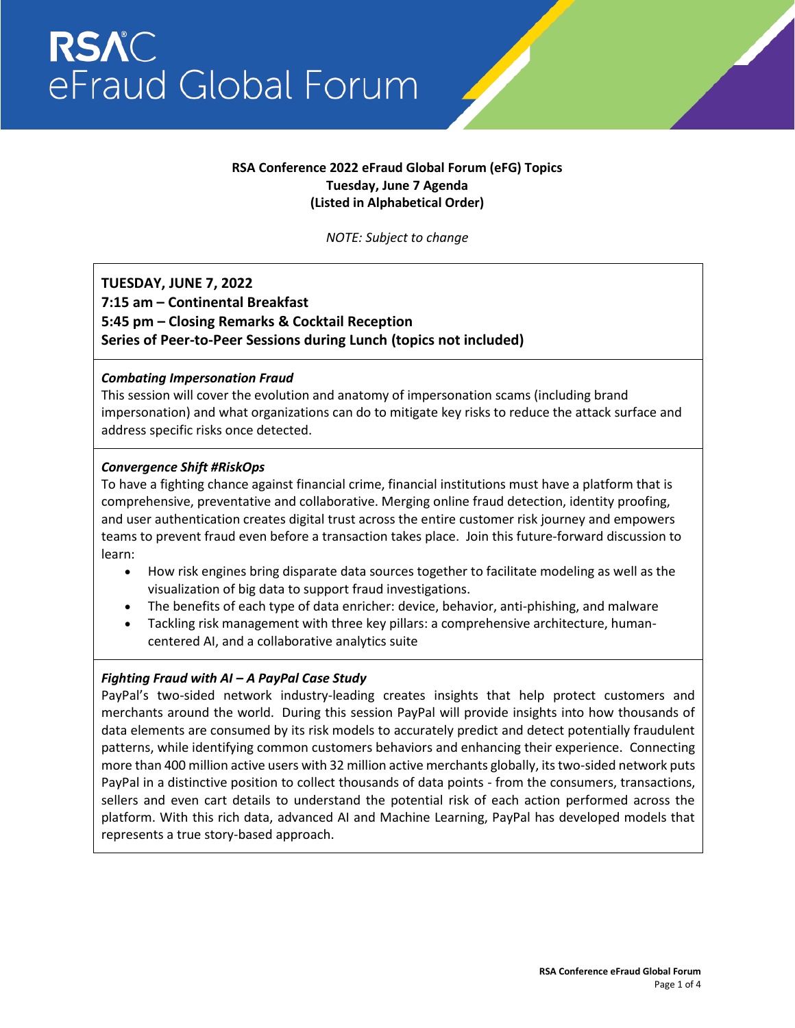## **RSA Conference 2022 eFraud Global Forum (eFG) Topics Tuesday, June 7 Agenda (Listed in Alphabetical Order)**

*NOTE: Subject to change*

## **TUESDAY, JUNE 7, 2022 7:15 am – Continental Breakfast 5:45 pm – Closing Remarks & Cocktail Reception Series of Peer-to-Peer Sessions during Lunch (topics not included)**

#### *Combating Impersonation Fraud*

This session will cover the evolution and anatomy of impersonation scams (including brand impersonation) and what organizations can do to mitigate key risks to reduce the attack surface and address specific risks once detected.

#### *Convergence Shift #RiskOps*

To have a fighting chance against financial crime, financial institutions must have a platform that is comprehensive, preventative and collaborative. Merging online fraud detection, identity proofing, and user authentication creates digital trust across the entire customer risk journey and empowers teams to prevent fraud even before a transaction takes place. Join this future-forward discussion to learn:

- How risk engines bring disparate data sources together to facilitate modeling as well as the visualization of big data to support fraud investigations.
- The benefits of each type of data enricher: device, behavior, anti-phishing, and malware
- Tackling risk management with three key pillars: a comprehensive architecture, humancentered AI, and a collaborative analytics suite

## *Fighting Fraud with AI – A PayPal Case Study*

PayPal's two-sided network industry-leading creates insights that help protect customers and merchants around the world. During this session PayPal will provide insights into how thousands of data elements are consumed by its risk models to accurately predict and detect potentially fraudulent patterns, while identifying common customers behaviors and enhancing their experience. Connecting more than 400 million active users with 32 million active merchants globally, its two-sided network puts PayPal in a distinctive position to collect thousands of data points - from the consumers, transactions, sellers and even cart details to understand the potential risk of each action performed across the platform. With this rich data, advanced AI and Machine Learning, PayPal has developed models that represents a true story-based approach.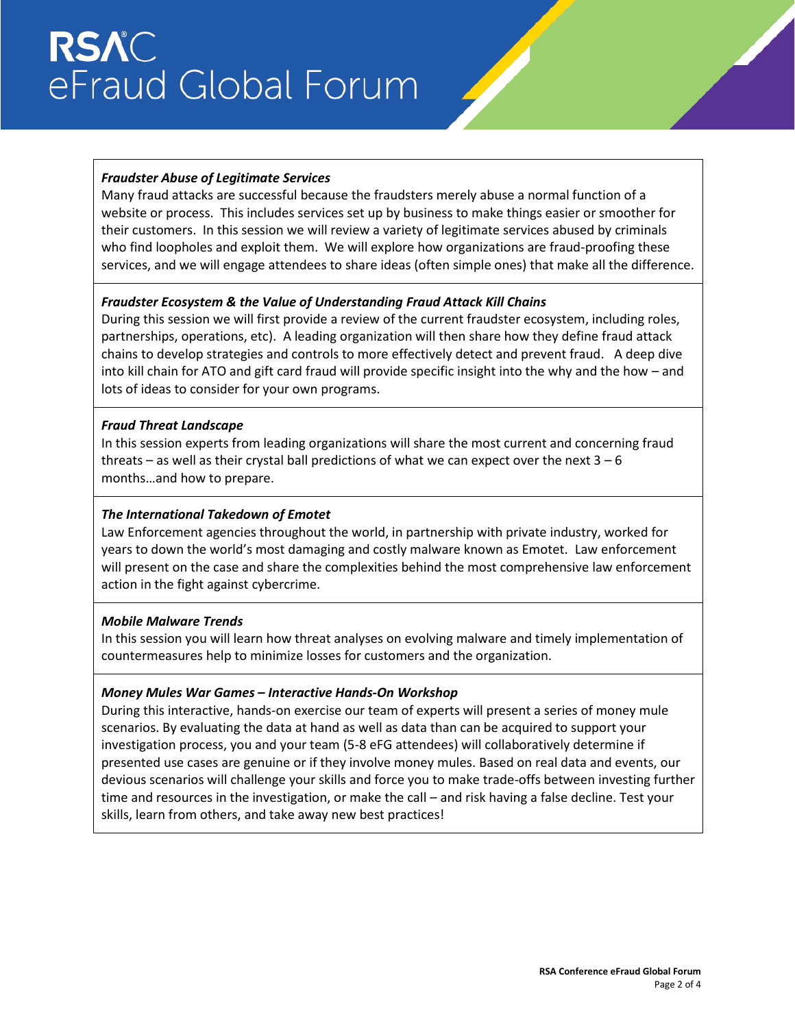# **RSAC** eFraud Global Forum

## *Fraudster Abuse of Legitimate Services*

Many fraud attacks are successful because the fraudsters merely abuse a normal function of a website or process. This includes services set up by business to make things easier or smoother for their customers. In this session we will review a variety of legitimate services abused by criminals who find loopholes and exploit them. We will explore how organizations are fraud-proofing these services, and we will engage attendees to share ideas (often simple ones) that make all the difference.

#### *Fraudster Ecosystem & the Value of Understanding Fraud Attack Kill Chains*

During this session we will first provide a review of the current fraudster ecosystem, including roles, partnerships, operations, etc). A leading organization will then share how they define fraud attack chains to develop strategies and controls to more effectively detect and prevent fraud. A deep dive into kill chain for ATO and gift card fraud will provide specific insight into the why and the how – and lots of ideas to consider for your own programs.

#### *Fraud Threat Landscape*

In this session experts from leading organizations will share the most current and concerning fraud threats – as well as their crystal ball predictions of what we can expect over the next 3 – 6 months…and how to prepare.

#### *The International Takedown of Emotet*

Law Enforcement agencies throughout the world, in partnership with private industry, worked for years to down the world's most damaging and costly malware known as Emotet. Law enforcement will present on the case and share the complexities behind the most comprehensive law enforcement action in the fight against cybercrime.

#### *Mobile Malware Trends*

In this session you will learn how threat analyses on evolving malware and timely implementation of countermeasures help to minimize losses for customers and the organization.

#### *Money Mules War Games – Interactive Hands-On Workshop*

During this interactive, hands-on exercise our team of experts will present a series of money mule scenarios. By evaluating the data at hand as well as data than can be acquired to support your investigation process, you and your team (5-8 eFG attendees) will collaboratively determine if presented use cases are genuine or if they involve money mules. Based on real data and events, our devious scenarios will challenge your skills and force you to make trade-offs between investing further time and resources in the investigation, or make the call – and risk having a false decline. Test your skills, learn from others, and take away new best practices!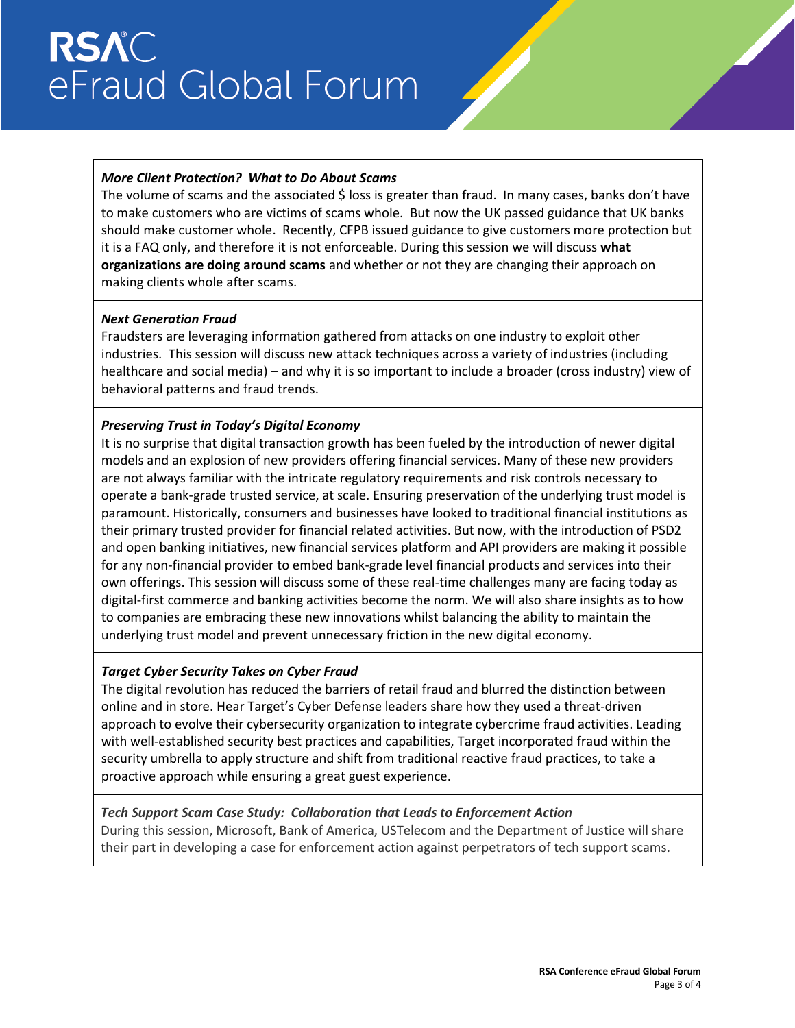# **RSAC** eFraud Global Forum

### *More Client Protection? What to Do About Scams*

The volume of scams and the associated \$ loss is greater than fraud. In many cases, banks don't have to make customers who are victims of scams whole. But now the UK passed guidance that UK banks should make customer whole. Recently, CFPB issued guidance to give customers more protection but it is a FAQ only, and therefore it is not enforceable. During this session we will discuss **what organizations are doing around scams** and whether or not they are changing their approach on making clients whole after scams.

#### *Next Generation Fraud*

Fraudsters are leveraging information gathered from attacks on one industry to exploit other industries. This session will discuss new attack techniques across a variety of industries (including healthcare and social media) – and why it is so important to include a broader (cross industry) view of behavioral patterns and fraud trends.

#### *Preserving Trust in Today's Digital Economy*

It is no surprise that digital transaction growth has been fueled by the introduction of newer digital models and an explosion of new providers offering financial services. Many of these new providers are not always familiar with the intricate regulatory requirements and risk controls necessary to operate a bank-grade trusted service, at scale. Ensuring preservation of the underlying trust model is paramount. Historically, consumers and businesses have looked to traditional financial institutions as their primary trusted provider for financial related activities. But now, with the introduction of PSD2 and open banking initiatives, new financial services platform and API providers are making it possible for any non-financial provider to embed bank-grade level financial products and services into their own offerings. This session will discuss some of these real-time challenges many are facing today as digital-first commerce and banking activities become the norm. We will also share insights as to how to companies are embracing these new innovations whilst balancing the ability to maintain the underlying trust model and prevent unnecessary friction in the new digital economy.

## *Target Cyber Security Takes on Cyber Fraud*

The digital revolution has reduced the barriers of retail fraud and blurred the distinction between online and in store. Hear Target's Cyber Defense leaders share how they used a threat-driven approach to evolve their cybersecurity organization to integrate cybercrime fraud activities. Leading with well-established security best practices and capabilities, Target incorporated fraud within the security umbrella to apply structure and shift from traditional reactive fraud practices, to take a proactive approach while ensuring a great guest experience.

#### *Tech Support Scam Case Study: Collaboration that Leads to Enforcement Action*

During this session, Microsoft, Bank of America, USTelecom and the Department of Justice will share their part in developing a case for enforcement action against perpetrators of tech support scams.